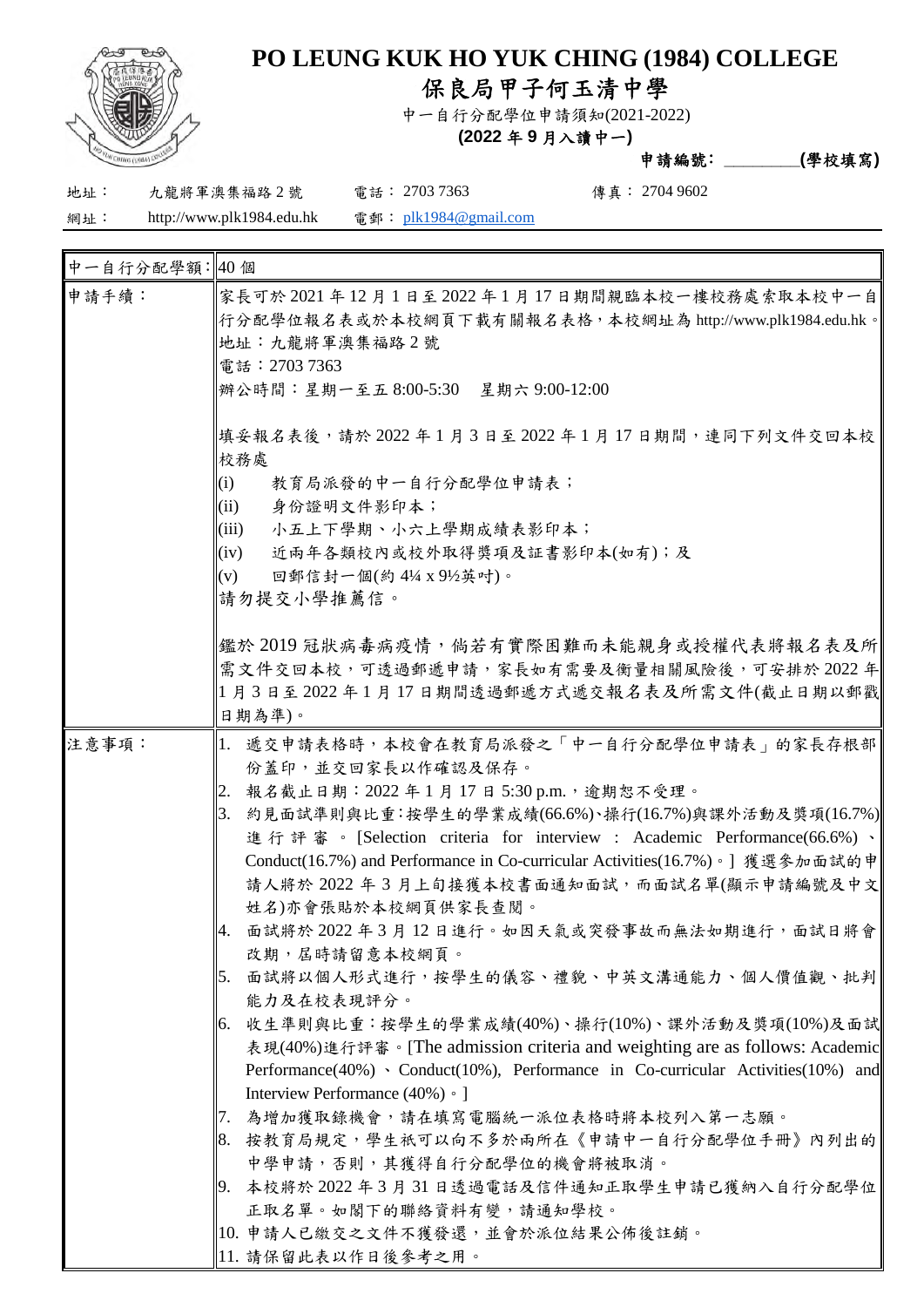

## **PO LEUNG KUK HO YUK CHING (1984) COLLEGE**

保良局甲子何玉清中學

中一自行分配學位申請須知(2021-2022)

**(2022** 年 **9** 月入讀中一**)**

申請編號﹕**\_\_\_\_\_\_\_\_(**學校填寫**)**

地址: 九龍將軍澳集福路 2 號 電話: 2703 7363 傳真: 2704 9602

網址: http://www.plk1984.edu.hk 電郵: plk1984@gmail.com

| 中一自行分配學額:40個 |                                                                                                                                                                                                                                                                                                                                                                                                                                                                                                                                                                                                                                                                                                                                                                                                                                                                                                                                                                                                                                                                   |
|--------------|-------------------------------------------------------------------------------------------------------------------------------------------------------------------------------------------------------------------------------------------------------------------------------------------------------------------------------------------------------------------------------------------------------------------------------------------------------------------------------------------------------------------------------------------------------------------------------------------------------------------------------------------------------------------------------------------------------------------------------------------------------------------------------------------------------------------------------------------------------------------------------------------------------------------------------------------------------------------------------------------------------------------------------------------------------------------|
| 申請手續:        | 家長可於 2021 年 12 月 1 日至 2022 年 1 月 17 日期間親臨本校一樓校務處索取本校中一自<br> 行分配學位報名表或於本校網頁下載有關報名表格,本校網址為 http://www.plk1984.edu.hk。<br>地址:九龍將軍澳集福路2號<br>電話: 2703 7363<br>辦公時間:星期一至五 8:00-5:30 星期六 9:00-12:00                                                                                                                                                                                                                                                                                                                                                                                                                                                                                                                                                                                                                                                                                                                                                                                                                                                                      |
|              | 填妥報名表後,請於2022年1月3日至2022年1月17日期間,連同下列文件交回本校<br>校務處<br>(i)<br>教育局派發的中一自行分配學位申請表;<br>(ii)<br>身份證明文件影印本;<br>(iii)<br>小五上下學期、小六上學期成績表影印本;<br>(iv)<br>近兩年各類校內或校外取得獎項及証書影印本(如有);及<br>(v)<br>回郵信封一個(約41/4 x 91/2英吋)。<br> 請勿提交小學推薦信。                                                                                                                                                                                                                                                                                                                                                                                                                                                                                                                                                                                                                                                                                                                                                                                                                                       |
|              | 鑑於 2019 冠狀病毒病疫情,倘若有實際困難而未能親身或授權代表將報名表及所 <br>需文件交回本校,可透過郵遞申請,家長如有需要及衡量相關風險後,可安排於2022年<br>1 月3日至2022年1月17日期間透過郵遞方式遞交報名表及所需文件(截止日期以郵戳<br>日期為準)。                                                                                                                                                                                                                                                                                                                                                                                                                                                                                                                                                                                                                                                                                                                                                                                                                                                                                                                      |
| 注意事項:        | 1. 遞交申請表格時,本校會在教育局派發之「中一自行分配學位申請表」的家長存根部<br>份蓋印,並交回家長以作確認及保存。<br>報名截止日期: 2022年1月17日5:30 p.m., 逾期恕不受理。<br>2.<br>3. 約見面試準則與比重:按學生的學業成績(66.6%)、操行(16.7%)與課外活動及獎項(16.7%)<br>進行評審。[Selection criteria for interview : Academic Performance(66.6%)、<br>Conduct(16.7%) and Performance in Co-curricular Activities(16.7%)。] 獲選參加面試的申<br>請人將於 2022 年 3 月上旬接獲本校書面通知面試,而面試名單(顯示申請編號及中文<br>姓名)亦會張貼於本校網頁供家長查閱。<br>面試將於2022年3月12日進行。如因天氣或突發事故而無法如期進行,面試日將會<br>4.<br>改期, 居時請留意本校網頁。<br>面試將以個人形式進行,按學生的儀容、禮貌、中英文溝通能力、個人價值觀、批判<br>5.<br>能力及在校表現評分。<br>收生準則與比重:按學生的學業成績(40%)、操行(10%)、課外活動及獎項(10%)及面試<br>6.<br>表現(40%)進行評審。[The admission criteria and weighting are as follows: Academic<br>Performance(40%) · Conduct(10%), Performance in Co-curricular Activities(10%) and<br>Interview Performance (40%) • 1<br>為增加獲取錄機會,請在填寫電腦統一派位表格時將本校列入第一志願。<br>17.<br>  8. 按教育局規定,學生祇可以向不多於兩所在《申請中一自行分配學位手冊》內列出的<br>中學申請,否則,其獲得自行分配學位的機會將被取消。<br>19. 本校將於 2022 年 3 月 31 日透過電話及信件通知正取學生申請已獲納入自行分配學位<br>正取名單。如閣下的聯絡資料有變,請通知學校。<br>  10. 申請人已繳交之文件不獲發還,並會於派位結果公佈後註銷。<br>  11. 請保留此表以作日後參考之用。 |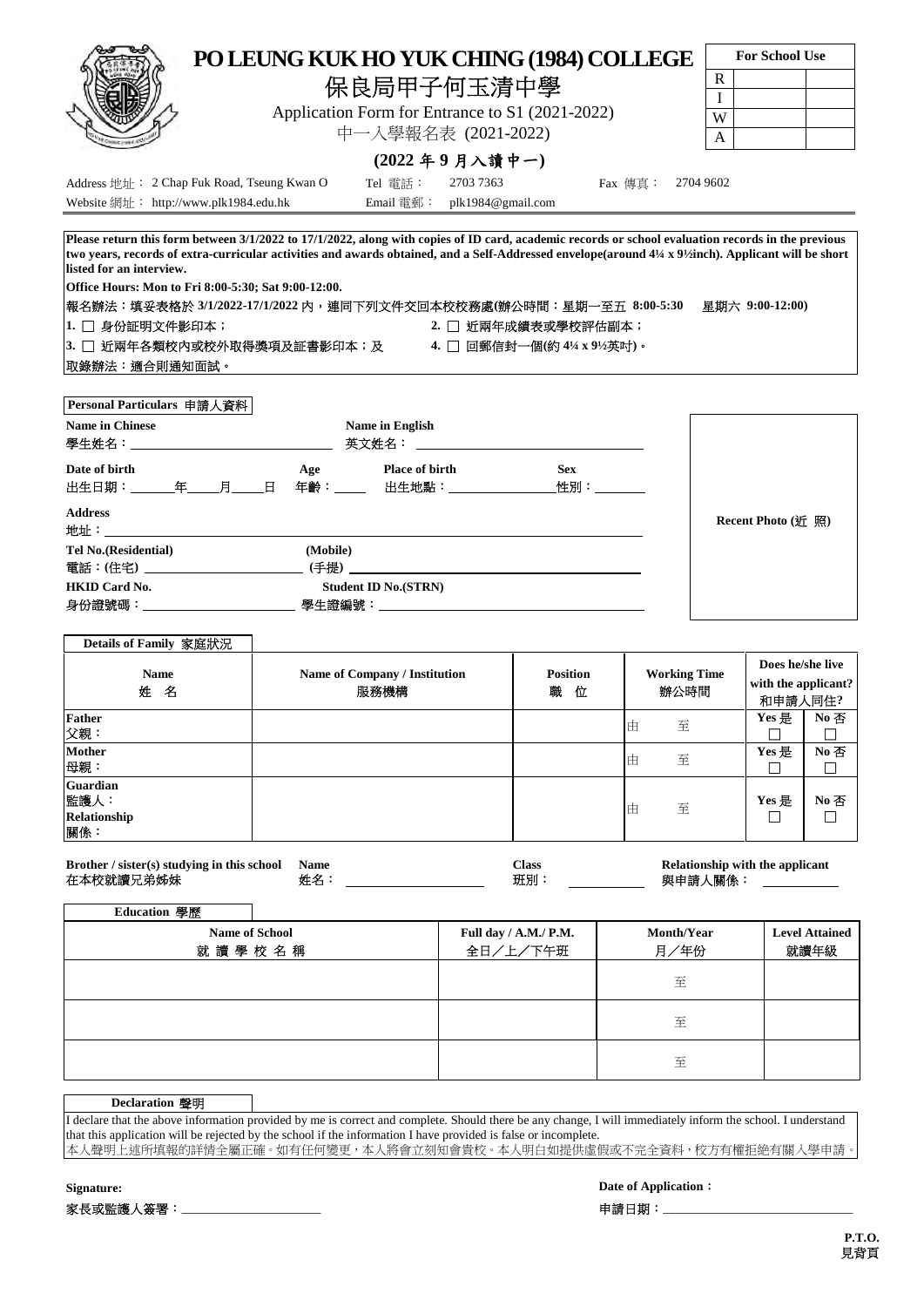|                                                                                                                                                                                 | <b>For School Use</b>    |
|---------------------------------------------------------------------------------------------------------------------------------------------------------------------------------|--------------------------|
| PO LEUNG KUK HO YUK CHING (1984) COLLEGE                                                                                                                                        |                          |
| 保良局甲子何玉清中學                                                                                                                                                                      | $\mathbf R$              |
| Application Form for Entrance to S1 (2021-2022)                                                                                                                                 | $\mathbf{I}$<br>W        |
| 中一人學報名表 (2021-2022)                                                                                                                                                             | $\mathsf{A}$             |
| $(2022 - 49)$ 月入讀中一                                                                                                                                                             |                          |
| Address 地址: 2 Chap Fuk Road, Tseung Kwan O<br>Tel 電話:<br>Fax 傳真: 2704 9602<br>2703 7363                                                                                         |                          |
|                                                                                                                                                                                 |                          |
| listed for an interview.<br>Office Hours: Mon to Fri 8:00-5:30; Sat 9:00-12:00.<br>報名辦法:填妥表格於 3/1/2022-17/1/2022 内,連同下列文件交回本校校務處(辦公時間:星期一至五 8:00-5:30  星期六 9:00-12:00)          |                          |
| 2. □ 近兩年成績表或學校評估副本;                                                                                                                                                             |                          |
|                                                                                                                                                                                 |                          |
|                                                                                                                                                                                 |                          |
| 1. □ 身份証明文件影印本;<br> 3. □ 近兩年各類校内或校外取得獎項及証書影印本;及          4. □ 回郵信封一個(約 4¼ x 9½英吋)。<br> 取錄辦法:適合則通知面試。<br>Personal Particulars 申請人資料<br><b>Name in Chinese</b><br>Name in English |                          |
| Date of birth<br>Age Place of birth<br><b>Sex</b><br>出生日期:_______年_____月_____日 年齡:_____ 出生地點:________________<br>性別:_________                                                   |                          |
|                                                                                                                                                                                 | Recent Photo $($ 近 照 $)$ |
| <b>Address</b><br><b>Tel No.</b> (Residential)<br>(Mobile)                                                                                                                      |                          |

| <b>Name</b><br>姓<br>名                   | Name of Company / Institution<br>服務機構 | <b>Position</b><br>職<br>位 | <b>Working Time</b><br>辦公時間 | Does he/she live<br>with the applicant?<br>和申請人同住? |                       |
|-----------------------------------------|---------------------------------------|---------------------------|-----------------------------|----------------------------------------------------|-----------------------|
| <b>Father</b><br>父親:                    |                                       |                           | 至<br>曲                      | Yes 是                                              | $No \n  \overline{B}$ |
| <b>Mother</b><br>母親:                    |                                       |                           | 至<br>ıĖ                     | Yes 是                                              | No否                   |
| Guardian<br>監護人:<br>Relationship<br>關係: |                                       |                           | 至<br>由                      | Yes 是                                              | No 否                  |

| Brother / sister(s) studying in this school | <b>Name</b> | lass | <b>Relationship with the applicant</b> |
|---------------------------------------------|-------------|------|----------------------------------------|
| 在本校就讀兄弟姊妹                                   | 姓名          | 班別   | 與申請人關係・                                |

| Education 學歷 |                       |                                   |                    |                               |
|--------------|-----------------------|-----------------------------------|--------------------|-------------------------------|
| 就讀學校名稱       | <b>Name of School</b> | Full day / A.M./ P.M.<br>全日/上/下午班 | Month/Year<br>月/年份 | <b>Level Attained</b><br>就讀年級 |
|              |                       |                                   | 至                  |                               |
|              |                       |                                   | 至                  |                               |
|              |                       |                                   | 至                  |                               |

| <b>Declaration 聲明</b> |                                                                                                                                                             |
|-----------------------|-------------------------------------------------------------------------------------------------------------------------------------------------------------|
|                       | I declare that the above information provided by me is correct and complete. Should there be any change, I will immediately inform the school. I understand |
|                       | that this application will be rejected by the school if the information I have provided is false or incomplete.                                             |
|                       | 本人聲明上述所填報的詳情全屬正確。如有任何變更,本人將會立刻知會貴校。本人明白如提供虛假或不完全資料,校方有權拒絶有關入學申請                                                                                             |

**Signature: Date of Application**: